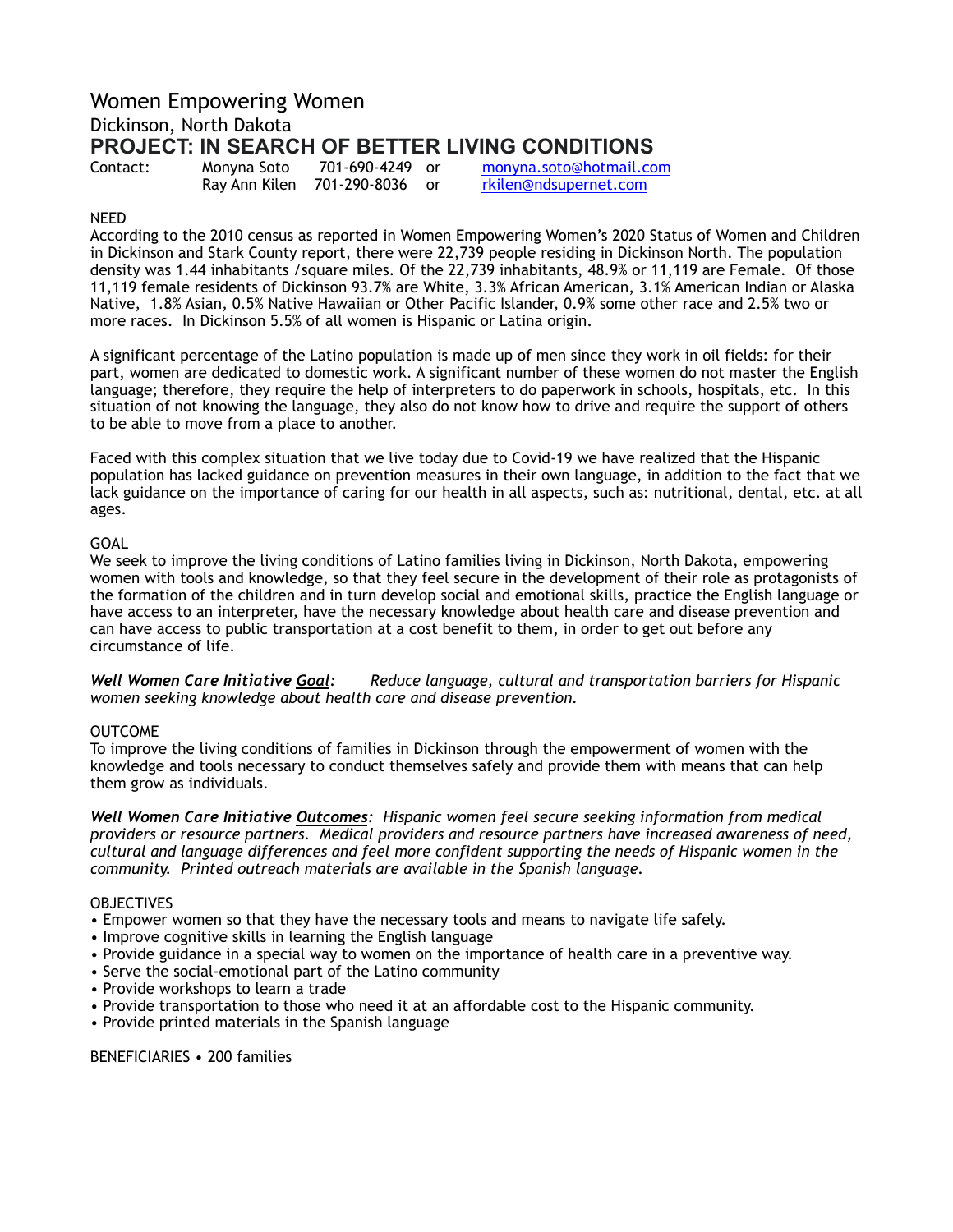# Women Empowering Women Dickinson, North Dakota **PROJECT: IN SEARCH OF BETTER LIVING CONDITIONS**

| Contact: | м |
|----------|---|
|          | R |

ay Ann Kilen 701-290-8036 or [rkilen@ndsupernet.com](mailto:rkilen@ndsupernet.com)

lonyna Soto 701-690-4249 or [monyna.soto@hotmail.com](mailto:monyna.soto@hotmail.com)

# NEED

According to the 2010 census as reported in Women Empowering Women's 2020 Status of Women and Children in Dickinson and Stark County report, there were 22,739 people residing in Dickinson North. The population density was 1.44 inhabitants /square miles. Of the 22,739 inhabitants, 48.9% or 11,119 are Female. Of those 11,119 female residents of Dickinson 93.7% are White, 3.3% African American, 3.1% American Indian or Alaska Native, 1.8% Asian, 0.5% Native Hawaiian or Other Pacific Islander, 0.9% some other race and 2.5% two or more races. In Dickinson 5.5% of all women is Hispanic or Latina origin.

A significant percentage of the Latino population is made up of men since they work in oil fields: for their part, women are dedicated to domestic work. A significant number of these women do not master the English language; therefore, they require the help of interpreters to do paperwork in schools, hospitals, etc. In this situation of not knowing the language, they also do not know how to drive and require the support of others to be able to move from a place to another.

Faced with this complex situation that we live today due to Covid-19 we have realized that the Hispanic population has lacked guidance on prevention measures in their own language, in addition to the fact that we lack guidance on the importance of caring for our health in all aspects, such as: nutritional, dental, etc. at all ages.

# GOAL

We seek to improve the living conditions of Latino families living in Dickinson, North Dakota, empowering women with tools and knowledge, so that they feel secure in the development of their role as protagonists of the formation of the children and in turn develop social and emotional skills, practice the English language or have access to an interpreter, have the necessary knowledge about health care and disease prevention and can have access to public transportation at a cost benefit to them, in order to get out before any circumstance of life.

*Well Women Care Initiative Goal: Reduce language, cultural and transportation barriers for Hispanic women seeking knowledge about health care and disease prevention.* 

# OUTCOME

To improve the living conditions of families in Dickinson through the empowerment of women with the knowledge and tools necessary to conduct themselves safely and provide them with means that can help them grow as individuals.

*Well Women Care Initiative Outcomes: Hispanic women feel secure seeking information from medical providers or resource partners. Medical providers and resource partners have increased awareness of need, cultural and language differences and feel more confident supporting the needs of Hispanic women in the community. Printed outreach materials are available in the Spanish language.* 

#### **OBJECTIVES**

• Empower women so that they have the necessary tools and means to navigate life safely.

- Improve cognitive skills in learning the English language
- Provide guidance in a special way to women on the importance of health care in a preventive way.
- Serve the social-emotional part of the Latino community
- Provide workshops to learn a trade
- Provide transportation to those who need it at an affordable cost to the Hispanic community.
- Provide printed materials in the Spanish language

BENEFICIARIES • 200 families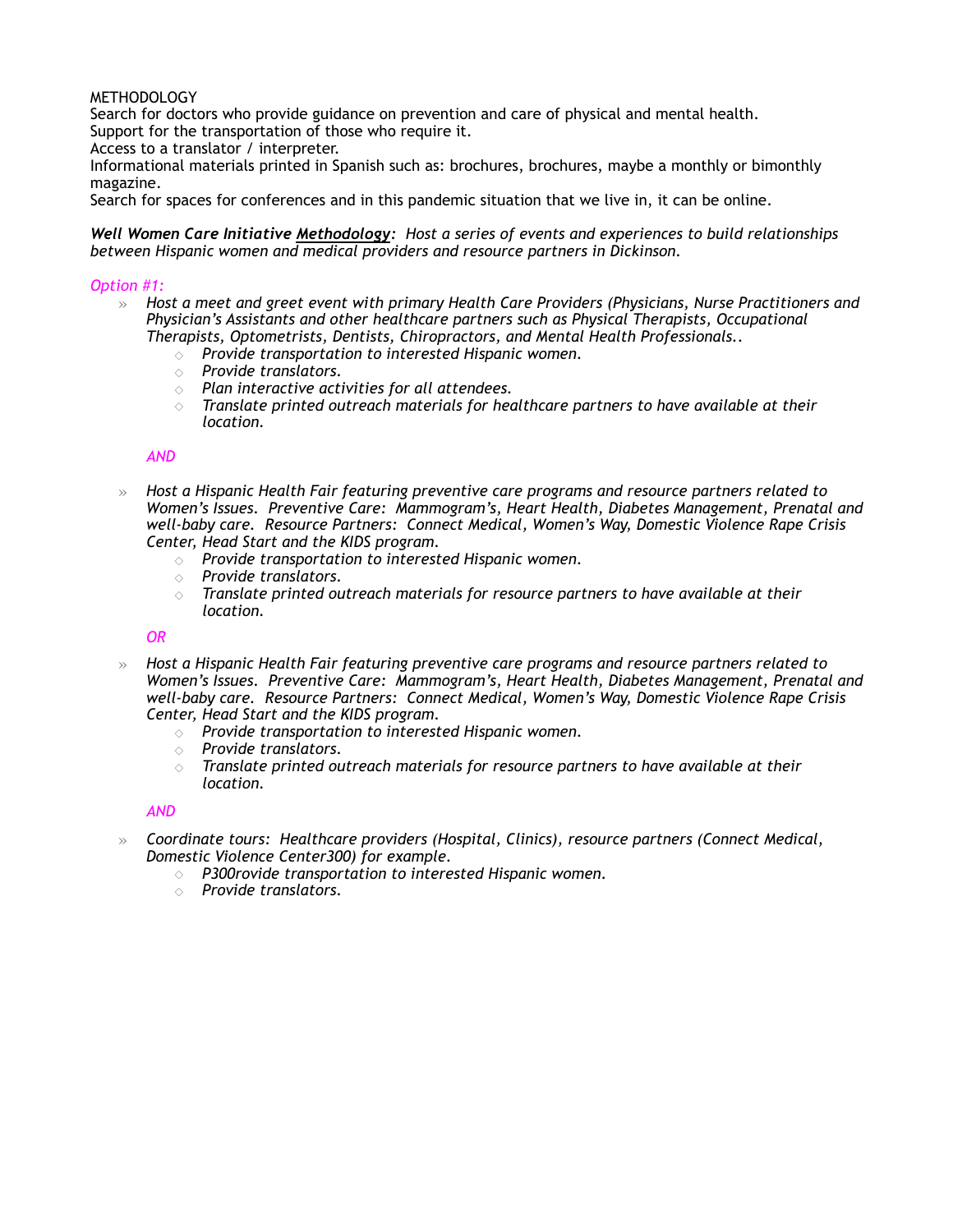### METHODOLOGY

Search for doctors who provide guidance on prevention and care of physical and mental health. Support for the transportation of those who require it.

Access to a translator / interpreter.

Informational materials printed in Spanish such as: brochures, brochures, maybe a monthly or bimonthly magazine.

Search for spaces for conferences and in this pandemic situation that we live in, it can be online.

*Well Women Care Initiative Methodology: Host a series of events and experiences to build relationships between Hispanic women and medical providers and resource partners in Dickinson.* 

#### *Option #1:*

- » *Host a meet and greet event with primary Health Care Providers (Physicians, Nurse Practitioners and Physician's Assistants and other healthcare partners such as Physical Therapists, Occupational Therapists, Optometrists, Dentists, Chiropractors, and Mental Health Professionals..* 
	- ◇ *Provide transportation to interested Hispanic women.*
	- ◇ *Provide translators.*
	- ◇ *Plan interactive activities for all attendees.*
	- $\diamond$  Translate printed outreach materials for healthcare partners to have available at their *location.*

#### *AND*

- » *Host a Hispanic Health Fair featuring preventive care programs and resource partners related to Women's Issues. Preventive Care: Mammogram's, Heart Health, Diabetes Management, Prenatal and well-baby care. Resource Partners: Connect Medical, Women's Way, Domestic Violence Rape Crisis Center, Head Start and the KIDS program.* 
	- ◇ *Provide transportation to interested Hispanic women.*
	- ◇ *Provide translators.*
	- ◇ *Translate printed outreach materials for resource partners to have available at their location.*

#### *OR*

- » *Host a Hispanic Health Fair featuring preventive care programs and resource partners related to Women's Issues. Preventive Care: Mammogram's, Heart Health, Diabetes Management, Prenatal and well-baby care. Resource Partners: Connect Medical, Women's Way, Domestic Violence Rape Crisis Center, Head Start and the KIDS program.* 
	- ◇ *Provide transportation to interested Hispanic women.*
	- ◇ *Provide translators.*
	- ◇ *Translate printed outreach materials for resource partners to have available at their location.*

#### *AND*

- » *Coordinate tours: Healthcare providers (Hospital, Clinics), resource partners (Connect Medical, Domestic Violence Center300) for example.* 
	- ◇ *P300rovide transportation to interested Hispanic women.*
	- ◇ *Provide translators.*